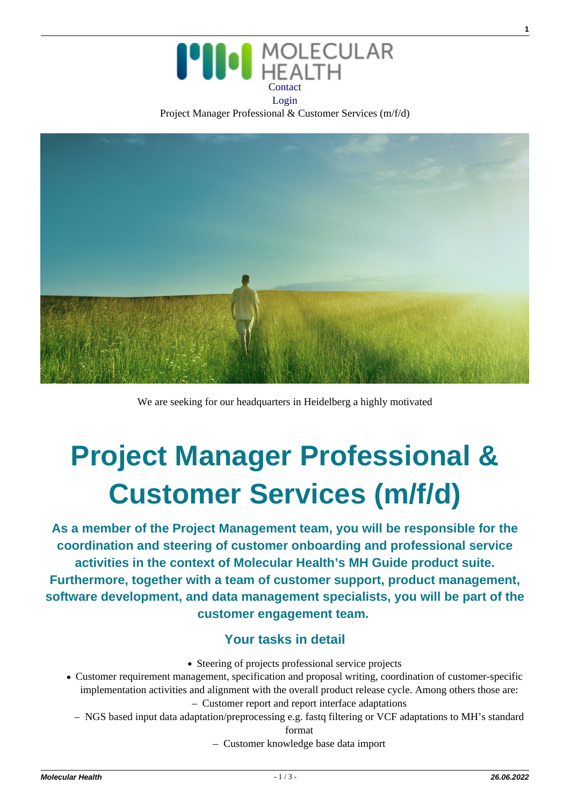

Project Manager Professional & Customer Services (m/f/d)



We are seeking for our headquarters in Heidelberg a highly motivated

# **Project Manager Professional & Customer Services (m/f/d)**

**As a member of the Project Management team, you will be responsible for the coordination and steering of customer onboarding and professional service activities in the context of Molecular Health's MH Guide product suite. Furthermore, together with a team of customer support, product management, software development, and data management specialists, you will be part of the customer engagement team.** 

## **Your tasks in detail**

- Steering of projects professional service projects
- Customer requirement management, specification and proposal writing, coordination of customer-specific implementation activities and alignment with the overall product release cycle. Among others those are: – Customer report and report interface adaptations
	- NGS based input data adaptation/preprocessing e.g. fastq filtering or VCF adaptations to MH's standard

format

– Customer knowledge base data import

**1**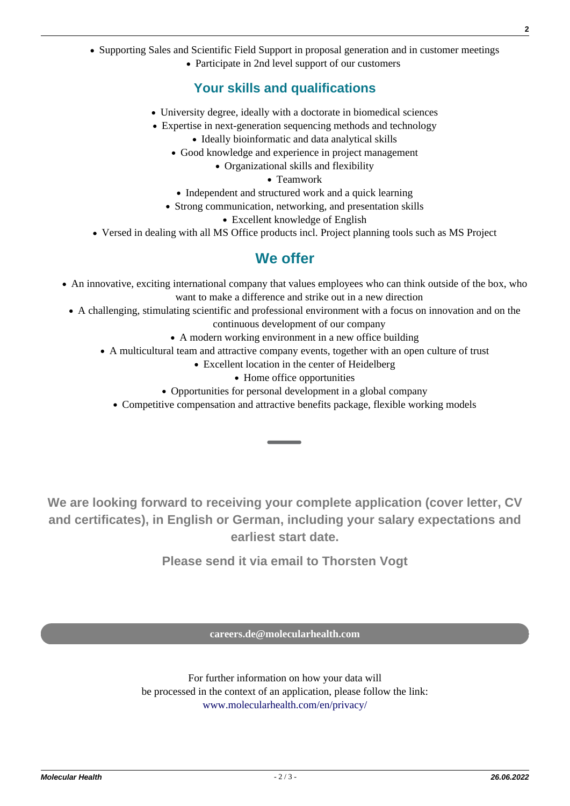• Supporting Sales and Scientific Field Support in proposal generation and in customer meetings

Participate in 2nd level support of our customers

## **Your skills and qualifications**

- University degree, ideally with a doctorate in biomedical sciences
- Expertise in next-generation sequencing methods and technology
	- Ideally bioinformatic and data analytical skills
	- Good knowledge and experience in project management
		- Organizational skills and flexibility
			- Teamwork
	- Independent and structured work and a quick learning
	- Strong communication, networking, and presentation skills
		- Excellent knowledge of English
- Versed in dealing with all MS Office products incl. Project planning tools such as MS Project

## **We offer**

- An innovative, exciting international company that values employees who can think outside of the box, who want to make a difference and strike out in a new direction
- A challenging, stimulating scientific and professional environment with a focus on innovation and on the continuous development of our company
	- A modern working environment in a new office building
	- A multicultural team and attractive company events, together with an open culture of trust
		- Excellent location in the center of Heidelberg
			- Home office opportunities
		- Opportunities for personal development in a global company
		- Competitive compensation and attractive benefits package, flexible working models

**We are looking forward to receiving your complete application (cover letter, CV and certificates), in English or German, including your salary expectations and earliest start date.**

**Please send it via email to Thorsten Vogt**

**[careers.de@molecularhealth.com](mailto:careers.de@molecularhealth.com)**

For further information on how your data will be processed in the context of an application, please follow the link: [www.molecularhealth.com/en/privacy/](https://www.molecularhealth.com/en/privacy/)